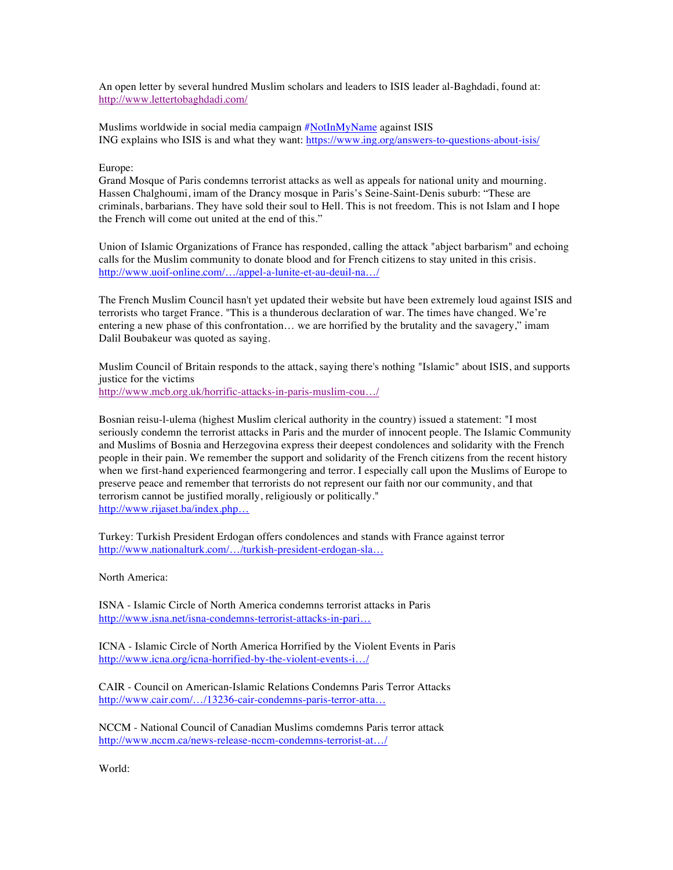An open letter by several hundred Muslim scholars and leaders to ISIS leader al-Baghdadi, found at: http://www.lettertobaghdadi.com/

Muslims worldwide in social media campaign #NotInMyName against ISIS ING explains who ISIS is and what they want: https://www.ing.org/answers-to-questions-about-isis/

Europe:

Grand Mosque of Paris condemns terrorist attacks as well as appeals for national unity and mourning. Hassen Chalghoumi, imam of the Drancy mosque in Paris's Seine-Saint-Denis suburb: "These are criminals, barbarians. They have sold their soul to Hell. This is not freedom. This is not Islam and I hope the French will come out united at the end of this."

Union of Islamic Organizations of France has responded, calling the attack "abject barbarism" and echoing calls for the Muslim community to donate blood and for French citizens to stay united in this crisis. http://www.uoif-online.com/…/appel-a-lunite-et-au-deuil-na…/

The French Muslim Council hasn't yet updated their website but have been extremely loud against ISIS and terrorists who target France. "This is a thunderous declaration of war. The times have changed. We're entering a new phase of this confrontation… we are horrified by the brutality and the savagery," imam Dalil Boubakeur was quoted as saying.

Muslim Council of Britain responds to the attack, saying there's nothing "Islamic" about ISIS, and supports justice for the victims

http://www.mcb.org.uk/horrific-attacks-in-paris-muslim-cou…/

Bosnian reisu-l-ulema (highest Muslim clerical authority in the country) issued a statement: "I most seriously condemn the terrorist attacks in Paris and the murder of innocent people. The Islamic Community and Muslims of Bosnia and Herzegovina express their deepest condolences and solidarity with the French people in their pain. We remember the support and solidarity of the French citizens from the recent history when we first-hand experienced fearmongering and terror. I especially call upon the Muslims of Europe to preserve peace and remember that terrorists do not represent our faith nor our community, and that terrorism cannot be justified morally, religiously or politically." http://www.rijaset.ba/index.php…

Turkey: Turkish President Erdogan offers condolences and stands with France against terror http://www.nationalturk.com/…/turkish-president-erdogan-sla…

North America:

ISNA - Islamic Circle of North America condemns terrorist attacks in Paris http://www.isna.net/isna-condemns-terrorist-attacks-in-pari…

ICNA - Islamic Circle of North America Horrified by the Violent Events in Paris http://www.icna.org/icna-horrified-by-the-violent-events-i…/

CAIR - Council on American-Islamic Relations Condemns Paris Terror Attacks http://www.cair.com/…/13236-cair-condemns-paris-terror-atta…

NCCM - National Council of Canadian Muslims comdemns Paris terror attack http://www.nccm.ca/news-release-nccm-condemns-terrorist-at…/

World: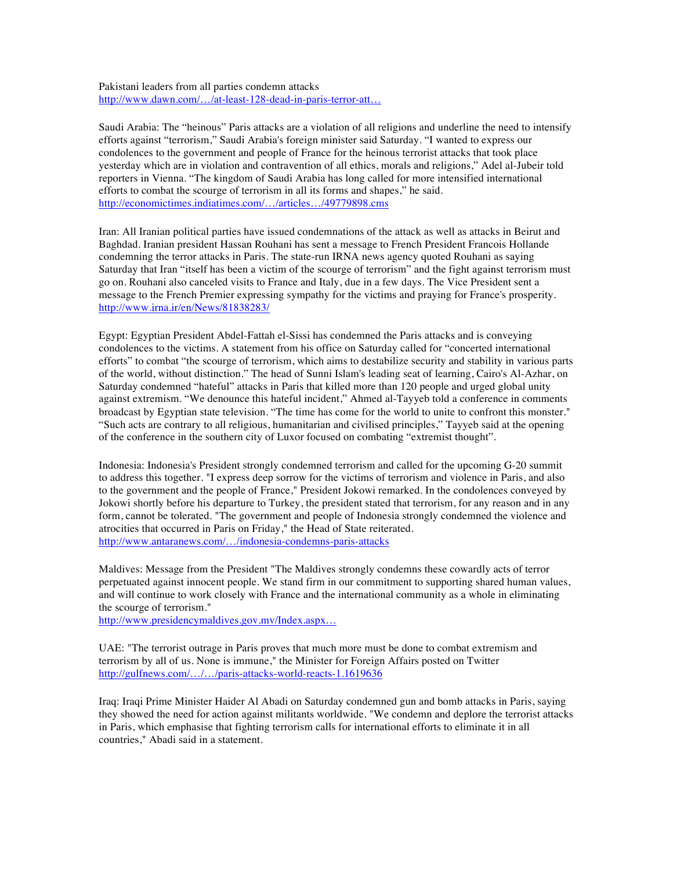## Pakistani leaders from all parties condemn attacks http://www.dawn.com/…/at-least-128-dead-in-paris-terror-att…

Saudi Arabia: The "heinous" Paris attacks are a violation of all religions and underline the need to intensify efforts against "terrorism," Saudi Arabia's foreign minister said Saturday. "I wanted to express our condolences to the government and people of France for the heinous terrorist attacks that took place yesterday which are in violation and contravention of all ethics, morals and religions," Adel al-Jubeir told reporters in Vienna. "The kingdom of Saudi Arabia has long called for more intensified international efforts to combat the scourge of terrorism in all its forms and shapes," he said. http://economictimes.indiatimes.com/…/articles…/49779898.cms

Iran: All Iranian political parties have issued condemnations of the attack as well as attacks in Beirut and Baghdad. Iranian president Hassan Rouhani has sent a message to French President Francois Hollande condemning the terror attacks in Paris. The state-run IRNA news agency quoted Rouhani as saying Saturday that Iran "itself has been a victim of the scourge of terrorism" and the fight against terrorism must go on. Rouhani also canceled visits to France and Italy, due in a few days. The Vice President sent a message to the French Premier expressing sympathy for the victims and praying for France's prosperity. http://www.irna.ir/en/News/81838283/

Egypt: Egyptian President Abdel-Fattah el-Sissi has condemned the Paris attacks and is conveying condolences to the victims. A statement from his office on Saturday called for "concerted international efforts" to combat "the scourge of terrorism, which aims to destabilize security and stability in various parts of the world, without distinction." The head of Sunni Islam's leading seat of learning, Cairo's Al-Azhar, on Saturday condemned "hateful" attacks in Paris that killed more than 120 people and urged global unity against extremism. "We denounce this hateful incident," Ahmed al-Tayyeb told a conference in comments broadcast by Egyptian state television. "The time has come for the world to unite to confront this monster." "Such acts are contrary to all religious, humanitarian and civilised principles," Tayyeb said at the opening of the conference in the southern city of Luxor focused on combating "extremist thought".

Indonesia: Indonesia's President strongly condemned terrorism and called for the upcoming G-20 summit to address this together. "I express deep sorrow for the victims of terrorism and violence in Paris, and also to the government and the people of France," President Jokowi remarked. In the condolences conveyed by Jokowi shortly before his departure to Turkey, the president stated that terrorism, for any reason and in any form, cannot be tolerated. "The government and people of Indonesia strongly condemned the violence and atrocities that occurred in Paris on Friday," the Head of State reiterated. http://www.antaranews.com/…/indonesia-condemns-paris-attacks

Maldives: Message from the President "The Maldives strongly condemns these cowardly acts of terror perpetuated against innocent people. We stand firm in our commitment to supporting shared human values, and will continue to work closely with France and the international community as a whole in eliminating the scourge of terrorism."

http://www.presidencymaldives.gov.mv/Index.aspx…

UAE: "The terrorist outrage in Paris proves that much more must be done to combat extremism and terrorism by all of us. None is immune," the Minister for Foreign Affairs posted on Twitter http://gulfnews.com/…/…/paris-attacks-world-reacts-1.1619636

Iraq: Iraqi Prime Minister Haider Al Abadi on Saturday condemned gun and bomb attacks in Paris, saying they showed the need for action against militants worldwide. "We condemn and deplore the terrorist attacks in Paris, which emphasise that fighting terrorism calls for international efforts to eliminate it in all countries," Abadi said in a statement.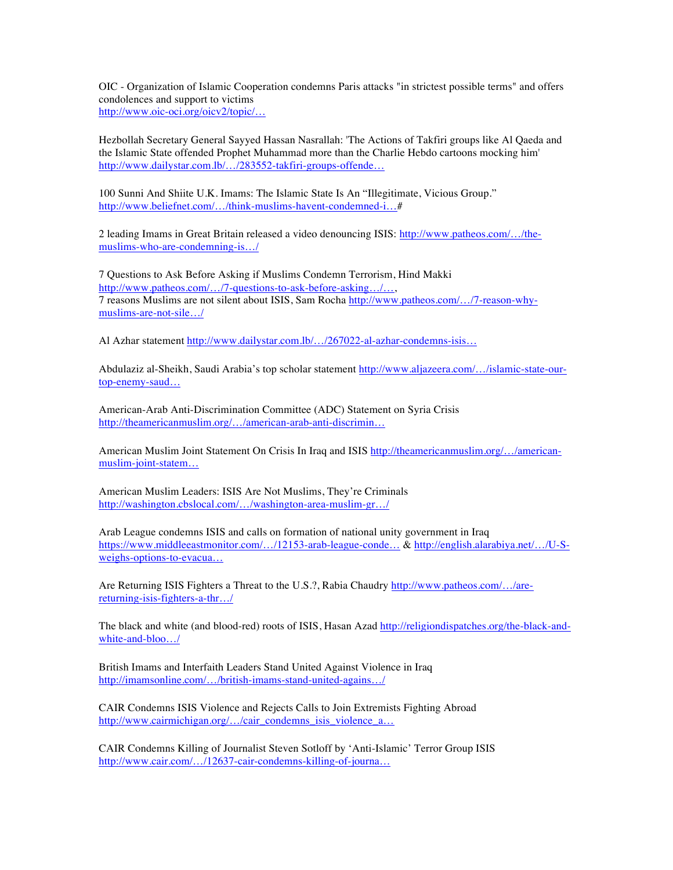OIC - Organization of Islamic Cooperation condemns Paris attacks "in strictest possible terms" and offers condolences and support to victims http://www.oic-oci.org/oicv2/topic/…

Hezbollah Secretary General Sayyed Hassan Nasrallah: 'The Actions of Takfiri groups like Al Qaeda and the Islamic State offended Prophet Muhammad more than the Charlie Hebdo cartoons mocking him' http://www.dailystar.com.lb/…/283552-takfiri-groups-offende…

100 Sunni And Shiite U.K. Imams: The Islamic State Is An "Illegitimate, Vicious Group." http://www.beliefnet.com/…/think-muslims-havent-condemned-i…#

2 leading Imams in Great Britain released a video denouncing ISIS: http://www.patheos.com/…/themuslims-who-are-condemning-is…/

7 Questions to Ask Before Asking if Muslims Condemn Terrorism, Hind Makki http://www.patheos.com/…/7-questions-to-ask-before-asking…/…, 7 reasons Muslims are not silent about ISIS, Sam Rocha http://www.patheos.com/…/7-reason-whymuslims-are-not-sile…/

Al Azhar statement http://www.dailystar.com.lb/…/267022-al-azhar-condemns-isis…

Abdulaziz al-Sheikh, Saudi Arabia's top scholar statement http://www.aljazeera.com/…/islamic-state-ourtop-enemy-saud…

American-Arab Anti-Discrimination Committee (ADC) Statement on Syria Crisis http://theamericanmuslim.org/…/american-arab-anti-discrimin…

American Muslim Joint Statement On Crisis In Iraq and ISIS http://theamericanmuslim.org/…/americanmuslim-joint-statem…

American Muslim Leaders: ISIS Are Not Muslims, They're Criminals http://washington.cbslocal.com/…/washington-area-muslim-gr…/

Arab League condemns ISIS and calls on formation of national unity government in Iraq https://www.middleeastmonitor.com/…/12153-arab-league-conde… & http://english.alarabiya.net/…/U-Sweighs-options-to-evacua…

Are Returning ISIS Fighters a Threat to the U.S.?, Rabia Chaudry http://www.patheos.com/…/arereturning-isis-fighters-a-thr…/

The black and white (and blood-red) roots of ISIS, Hasan Azad http://religiondispatches.org/the-black-andwhite-and-bloo…/

British Imams and Interfaith Leaders Stand United Against Violence in Iraq http://imamsonline.com/…/british-imams-stand-united-agains…/

CAIR Condemns ISIS Violence and Rejects Calls to Join Extremists Fighting Abroad http://www.cairmichigan.org/…/cair\_condemns\_isis\_violence\_a…

CAIR Condemns Killing of Journalist Steven Sotloff by 'Anti-Islamic' Terror Group ISIS http://www.cair.com/…/12637-cair-condemns-killing-of-journa…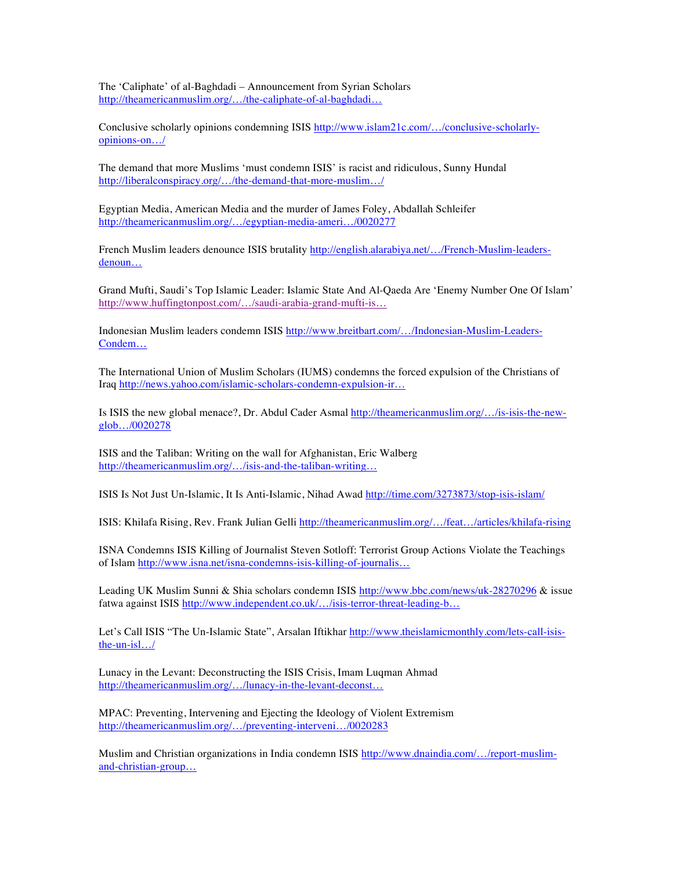The 'Caliphate' of al-Baghdadi – Announcement from Syrian Scholars http://theamericanmuslim.org/…/the-caliphate-of-al-baghdadi…

Conclusive scholarly opinions condemning ISIS http://www.islam21c.com/…/conclusive-scholarlyopinions-on…/

The demand that more Muslims 'must condemn ISIS' is racist and ridiculous, Sunny Hundal http://liberalconspiracy.org/…/the-demand-that-more-muslim…/

Egyptian Media, American Media and the murder of James Foley, Abdallah Schleifer http://theamericanmuslim.org/…/egyptian-media-ameri…/0020277

French Muslim leaders denounce ISIS brutality http://english.alarabiya.net/…/French-Muslim-leadersdenoun…

Grand Mufti, Saudi's Top Islamic Leader: Islamic State And Al-Qaeda Are 'Enemy Number One Of Islam' http://www.huffingtonpost.com/…/saudi-arabia-grand-mufti-is…

Indonesian Muslim leaders condemn ISIS http://www.breitbart.com/…/Indonesian-Muslim-Leaders-Condem…

The International Union of Muslim Scholars (IUMS) condemns the forced expulsion of the Christians of Iraq http://news.yahoo.com/islamic-scholars-condemn-expulsion-ir…

Is ISIS the new global menace?, Dr. Abdul Cader Asmal http://theamericanmuslim.org/…/is-isis-the-newglob…/0020278

ISIS and the Taliban: Writing on the wall for Afghanistan, Eric Walberg http://theamericanmuslim.org/…/isis-and-the-taliban-writing…

ISIS Is Not Just Un-Islamic, It Is Anti-Islamic, Nihad Awad http://time.com/3273873/stop-isis-islam/

ISIS: Khilafa Rising, Rev. Frank Julian Gelli http://theamericanmuslim.org/…/feat…/articles/khilafa-rising

ISNA Condemns ISIS Killing of Journalist Steven Sotloff: Terrorist Group Actions Violate the Teachings of Islam http://www.isna.net/isna-condemns-isis-killing-of-journalis…

Leading UK Muslim Sunni & Shia scholars condemn ISIS http://www.bbc.com/news/uk-28270296 & issue fatwa against ISIS http://www.independent.co.uk/.../isis-terror-threat-leading-b...

Let's Call ISIS "The Un-Islamic State", Arsalan Iftikhar http://www.theislamicmonthly.com/lets-call-isisthe-un-isl…/

Lunacy in the Levant: Deconstructing the ISIS Crisis, Imam Luqman Ahmad http://theamericanmuslim.org/…/lunacy-in-the-levant-deconst…

MPAC: Preventing, Intervening and Ejecting the Ideology of Violent Extremism http://theamericanmuslim.org/…/preventing-interveni…/0020283

Muslim and Christian organizations in India condemn ISIS http://www.dnaindia.com/…/report-muslimand-christian-group…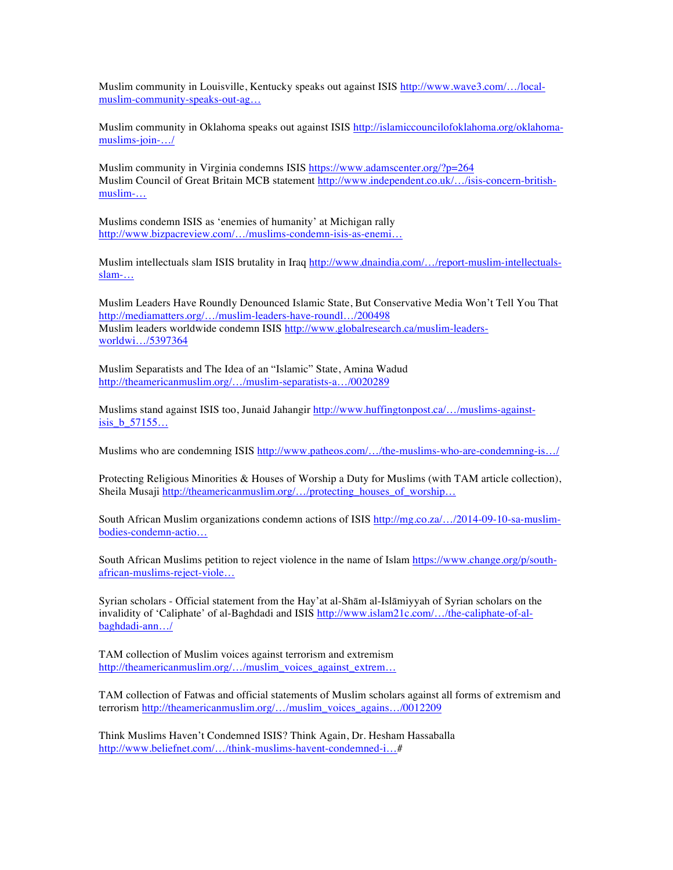Muslim community in Louisville, Kentucky speaks out against ISIS http://www.wave3.com/…/localmuslim-community-speaks-out-ag…

Muslim community in Oklahoma speaks out against ISIS http://islamiccouncilofoklahoma.org/oklahomamuslims-join-…/

Muslim community in Virginia condemns ISIS https://www.adamscenter.org/?p=264 Muslim Council of Great Britain MCB statement http://www.independent.co.uk/…/isis-concern-britishmuslim-…

Muslims condemn ISIS as 'enemies of humanity' at Michigan rally http://www.bizpacreview.com/…/muslims-condemn-isis-as-enemi…

Muslim intellectuals slam ISIS brutality in Iraq http://www.dnaindia.com/…/report-muslim-intellectualsslam-…

Muslim Leaders Have Roundly Denounced Islamic State, But Conservative Media Won't Tell You That http://mediamatters.org/…/muslim-leaders-have-roundl…/200498 Muslim leaders worldwide condemn ISIS http://www.globalresearch.ca/muslim-leadersworldwi…/5397364

Muslim Separatists and The Idea of an "Islamic" State, Amina Wadud http://theamericanmuslim.org/…/muslim-separatists-a…/0020289

Muslims stand against ISIS too, Junaid Jahangir http://www.huffingtonpost.ca/…/muslims-againstisis\_b\_57155…

Muslims who are condemning ISIS http://www.patheos.com/…/the-muslims-who-are-condemning-is…/

Protecting Religious Minorities & Houses of Worship a Duty for Muslims (with TAM article collection), Sheila Musaji http://theamericanmuslim.org/…/protecting\_houses\_of\_worship…

South African Muslim organizations condemn actions of ISIS http://mg.co.za/…/2014-09-10-sa-muslimbodies-condemn-actio…

South African Muslims petition to reject violence in the name of Islam https://www.change.org/p/southafrican-muslims-reject-viole…

Syrian scholars - Official statement from the Hay'at al-Shām al-Islāmiyyah of Syrian scholars on the invalidity of 'Caliphate' of al-Baghdadi and ISIS http://www.islam21c.com/.../the-caliphate-of-albaghdadi-ann…/

TAM collection of Muslim voices against terrorism and extremism http://theamericanmuslim.org/…/muslim\_voices\_against\_extrem…

TAM collection of Fatwas and official statements of Muslim scholars against all forms of extremism and terrorism http://theamericanmuslim.org/…/muslim\_voices\_agains…/0012209

Think Muslims Haven't Condemned ISIS? Think Again, Dr. Hesham Hassaballa http://www.beliefnet.com/…/think-muslims-havent-condemned-i…#